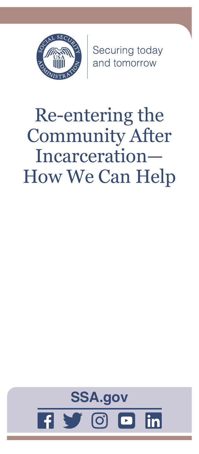

Securing today<br>and tomorrow

# Re-entering the Community After Incarceration— How We Can Help

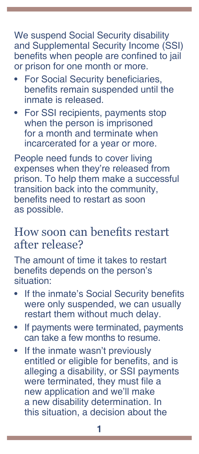We suspend Social Security disability and Supplemental Security Income (SSI) benefits when people are confined to jail or prison for one month or more.

- **For Social Security beneficiaries,** benefits remain suspended until the inmate is released.
- For SSI recipients, payments stop when the person is imprisoned for a month and terminate when incarcerated for a year or more.

People need funds to cover living expenses when they're released from prison. To help them make a successful transition back into the community, benefits need to restart as soon as possible.

# How soon can benefits restart after release?

The amount of time it takes to restart benefits depends on the person's situation:

- If the inmate's Social Security benefits were only suspended, we can usually restart them without much delay.
- If payments were terminated, payments can take a few months to resume.
- If the inmate wasn't previously entitled or eligible for benefits, and is alleging a disability, or SSI payments were terminated, they must file a new application and we'll make a new disability determination. In this situation, a decision about the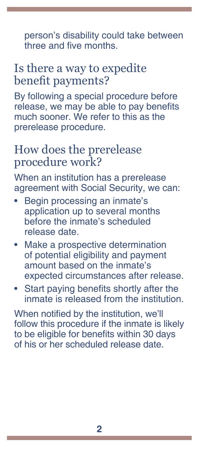person's disability could take between three and five months.

# Is there a way to expedite benefit payments?

By following a special procedure before release, we may be able to pay benefits much sooner. We refer to this as the prerelease procedure.

### How does the prerelease procedure work?

When an institution has a prerelease agreement with Social Security, we can:

- Begin processing an inmate's application up to several months before the inmate's scheduled release date.
- Make a prospective determination of potential eligibility and payment amount based on the inmate's expected circumstances after release.
- Start paying benefits shortly after the inmate is released from the institution.

When notified by the institution, we'll follow this procedure if the inmate is likely to be eligible for benefits within 30 days of his or her scheduled release date.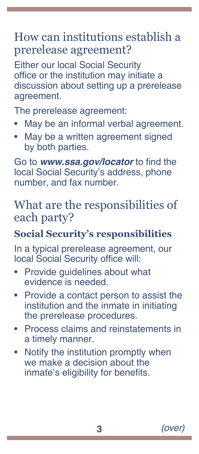# How can institutions establish a prerelease agreement?

Either our local Social Security office or the institution may initiate a discussion about setting up a prerelease agreement.

The prerelease agreement:

- May be an informal verbal agreement.
- May be a written agreement signed by both parties.

Go to *[www.ssa.gov/locator](https://www.ssa.gov/locator)* to find the local Social Security's address, phone number, and fax number.

# What are the responsibilities of each party?

#### **Social Security's responsibilities**

In a typical prerelease agreement, our local Social Security office will:

- Provide guidelines about what evidence is needed.
- Provide a contact person to assist the institution and the inmate in initiating the prerelease procedures.
- Process claims and reinstatements in a timely manner.
- Notify the institution promptly when we make a decision about the inmate's eligibility for benefits.

**3** *(over)*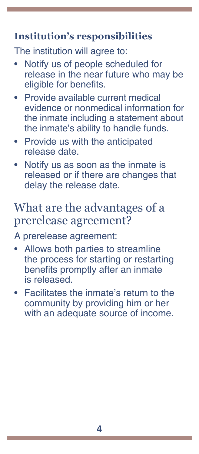#### **Institution's responsibilities**

The institution will agree to:

- Notify us of people scheduled for release in the near future who may be eligible for benefits.
- Provide available current medical evidence or nonmedical information for the inmate including a statement about the inmate's ability to handle funds.
- Provide us with the anticipated release date.
- Notify us as soon as the inmate is released or if there are changes that delay the release date.

# What are the advantages of a prerelease agreement?

A prerelease agreement:

- Allows both parties to streamline the process for starting or restarting benefits promptly after an inmate is released.
- Facilitates the inmate's return to the community by providing him or her with an adequate source of income.